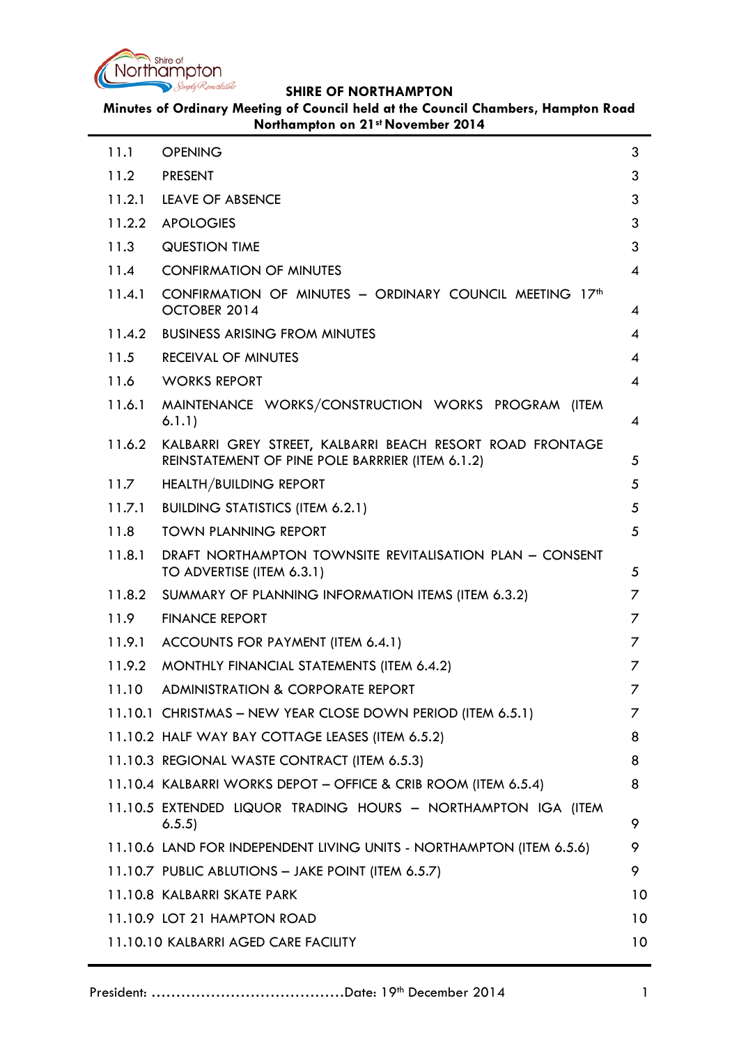

**Minutes of Ordinary Meeting of Council held at the Council Chambers, Hampton Road Northampton on 21st November 2014**

| 11.1   | <b>OPENING</b>                                                                                                | 3               |
|--------|---------------------------------------------------------------------------------------------------------------|-----------------|
| 11.2   | <b>PRESENT</b>                                                                                                | 3               |
| 11.2.1 | LEAVE OF ABSENCE                                                                                              | 3               |
| 11.2.2 | <b>APOLOGIES</b>                                                                                              | 3               |
| 11.3   | <b>QUESTION TIME</b>                                                                                          | 3               |
| 11.4   | <b>CONFIRMATION OF MINUTES</b>                                                                                | 4               |
| 11.4.1 | CONFIRMATION OF MINUTES - ORDINARY COUNCIL MEETING 17th<br>OCTOBER 2014                                       | 4               |
| 11.4.2 | <b>BUSINESS ARISING FROM MINUTES</b>                                                                          | 4               |
| 11.5   | <b>RECEIVAL OF MINUTES</b>                                                                                    | 4               |
| 11.6   | <b>WORKS REPORT</b>                                                                                           | 4               |
| 11.6.1 | MAINTENANCE WORKS/CONSTRUCTION WORKS PROGRAM (ITEM<br>6.1.1)                                                  | 4               |
| 11.6.2 | KALBARRI GREY STREET, KALBARRI BEACH RESORT ROAD FRONTAGE<br>REINSTATEMENT OF PINE POLE BARRRIER (ITEM 6.1.2) | 5               |
| 11.7   | <b>HEALTH/BUILDING REPORT</b>                                                                                 | 5               |
| 11.7.1 | <b>BUILDING STATISTICS (ITEM 6.2.1)</b>                                                                       | 5               |
| 11.8   | <b>TOWN PLANNING REPORT</b>                                                                                   | 5               |
| 11.8.1 | DRAFT NORTHAMPTON TOWNSITE REVITALISATION PLAN - CONSENT<br>TO ADVERTISE (ITEM 6.3.1)                         | 5               |
| 11.8.2 | SUMMARY OF PLANNING INFORMATION ITEMS (ITEM 6.3.2)                                                            | 7               |
| 11.9   | <b>FINANCE REPORT</b>                                                                                         | 7               |
| 11.9.1 | ACCOUNTS FOR PAYMENT (ITEM 6.4.1)                                                                             | 7               |
| 11.9.2 | MONTHLY FINANCIAL STATEMENTS (ITEM 6.4.2)                                                                     | 7               |
| 11.10  | ADMINISTRATION & CORPORATE REPORT                                                                             | ∕               |
|        | 11.10.1 CHRISTMAS - NEW YEAR CLOSE DOWN PERIOD (ITEM 6.5.1)                                                   | 7               |
|        | 11.10.2 HALF WAY BAY COTTAGE LEASES (ITEM 6.5.2)                                                              | 8               |
|        | 11.10.3 REGIONAL WASTE CONTRACT (ITEM 6.5.3)                                                                  | 8               |
|        | 11.10.4 KALBARRI WORKS DEPOT - OFFICE & CRIB ROOM (ITEM 6.5.4)                                                | 8               |
|        | 11.10.5 EXTENDED LIQUOR TRADING HOURS - NORTHAMPTON IGA (ITEM<br>6.5.5)                                       | 9               |
|        | 11.10.6 LAND FOR INDEPENDENT LIVING UNITS - NORTHAMPTON (ITEM 6.5.6)                                          | 9               |
|        | 11.10.7 PUBLIC ABLUTIONS - JAKE POINT (ITEM 6.5.7)                                                            | 9               |
|        | 11.10.8 KALBARRI SKATE PARK                                                                                   | 10 <sup>°</sup> |
|        | 11.10.9 LOT 21 HAMPTON ROAD                                                                                   | 10              |
|        | 11.10.10 KALBARRI AGED CARE FACILITY                                                                          | 10 <sup>°</sup> |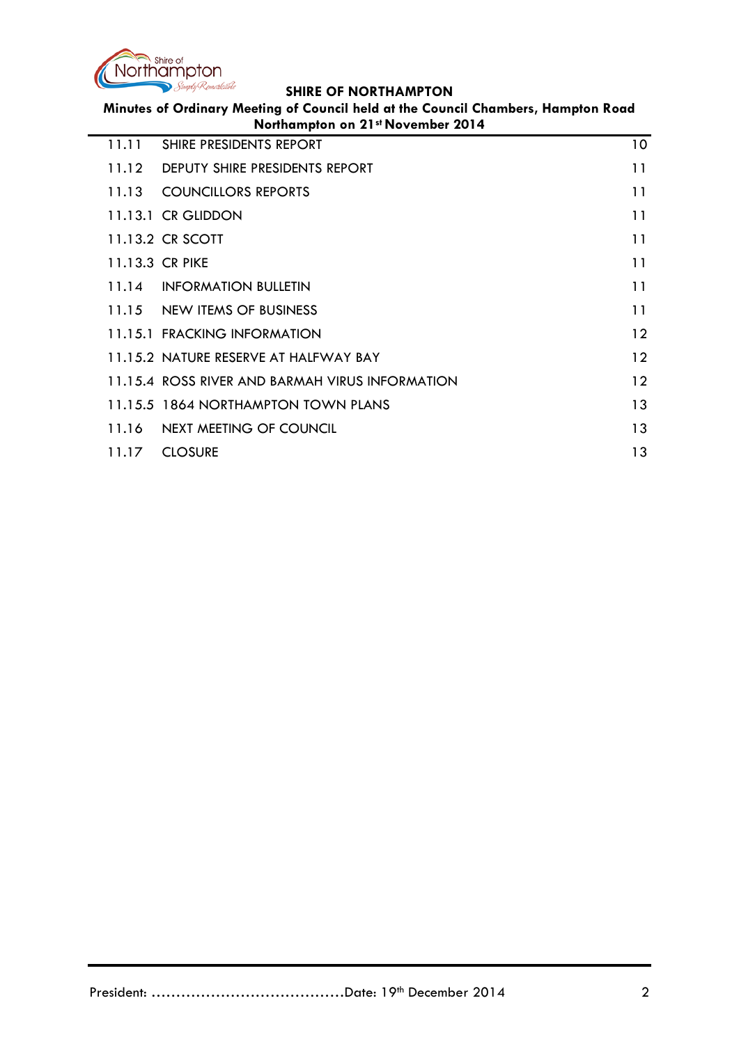

**Minutes of Ordinary Meeting of Council held at the Council Chambers, Hampton Road Northampton on 21st November 2014**

| 11.11 | SHIRE PRESIDENTS REPORT                         | 10              |
|-------|-------------------------------------------------|-----------------|
| 11.12 | DEPUTY SHIRE PRESIDENTS REPORT                  | 11              |
|       | 11.13 COUNCILLORS REPORTS                       | 11              |
|       | 11.13.1 CR GLIDDON                              | 11              |
|       | 11.13.2 CR SCOTT                                | 11              |
|       | 11.13.3 CR PIKE                                 | 11              |
|       | 11.14 INFORMATION BULLETIN                      | 11              |
|       | 11.15 NEW ITEMS OF BUSINESS                     | 11              |
|       | 11.15.1 FRACKING INFORMATION                    | $12 \ \mathrm{$ |
|       | 11.15.2 NATURE RESERVE AT HALFWAY BAY           | $12 \ \mathrm{$ |
|       | 11.15.4 ROSS RIVER AND BARMAH VIRUS INFORMATION | $12 \,$         |
|       | 11.15.5 1864 NORTHAMPTON TOWN PLANS             | 13              |
|       | 11.16 NEXT MEETING OF COUNCIL                   | 13              |
| 11.17 | <b>CLOSURE</b>                                  | 13              |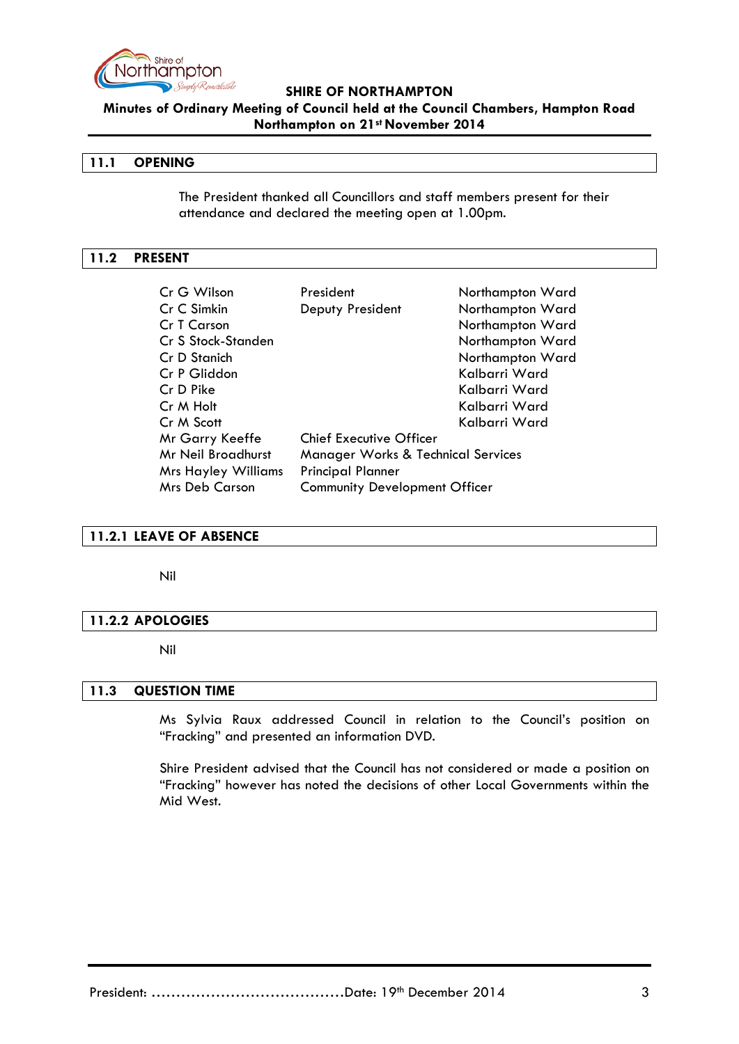

**Minutes of Ordinary Meeting of Council held at the Council Chambers, Hampton Road Northampton on 21st November 2014**

### <span id="page-2-0"></span>**11.1 OPENING**

The President thanked all Councillors and staff members present for their attendance and declared the meeting open at 1.00pm.

### <span id="page-2-1"></span>**11.2 PRESENT**

| Cr G Wilson                | President                                     | Northampton Ward |  |  |  |
|----------------------------|-----------------------------------------------|------------------|--|--|--|
| Cr C Simkin                | Deputy President                              | Northampton Ward |  |  |  |
| Cr T Carson                |                                               | Northampton Ward |  |  |  |
| Cr S Stock-Standen         |                                               | Northampton Ward |  |  |  |
| Cr D Stanich               |                                               | Northampton Ward |  |  |  |
| Cr P Gliddon               |                                               | Kalbarri Ward    |  |  |  |
| Cr D Pike                  |                                               | Kalbarri Ward    |  |  |  |
| Cr M Holt                  |                                               | Kalbarri Ward    |  |  |  |
| Cr M Scott                 |                                               | Kalbarri Ward    |  |  |  |
| Mr Garry Keeffe            | <b>Chief Executive Officer</b>                |                  |  |  |  |
| <b>Mr Neil Broadhurst</b>  | <b>Manager Works &amp; Technical Services</b> |                  |  |  |  |
| <b>Mrs Hayley Williams</b> | <b>Principal Planner</b>                      |                  |  |  |  |
| <b>Mrs Deb Carson</b>      | <b>Community Development Officer</b>          |                  |  |  |  |

#### <span id="page-2-2"></span>**11.2.1 LEAVE OF ABSENCE**

Nil

#### <span id="page-2-3"></span>**11.2.2 APOLOGIES**

#### Nil

### <span id="page-2-4"></span>**11.3 QUESTION TIME**

Ms Sylvia Raux addressed Council in relation to the Council's position on "Fracking" and presented an information DVD.

Shire President advised that the Council has not considered or made a position on "Fracking" however has noted the decisions of other Local Governments within the Mid West.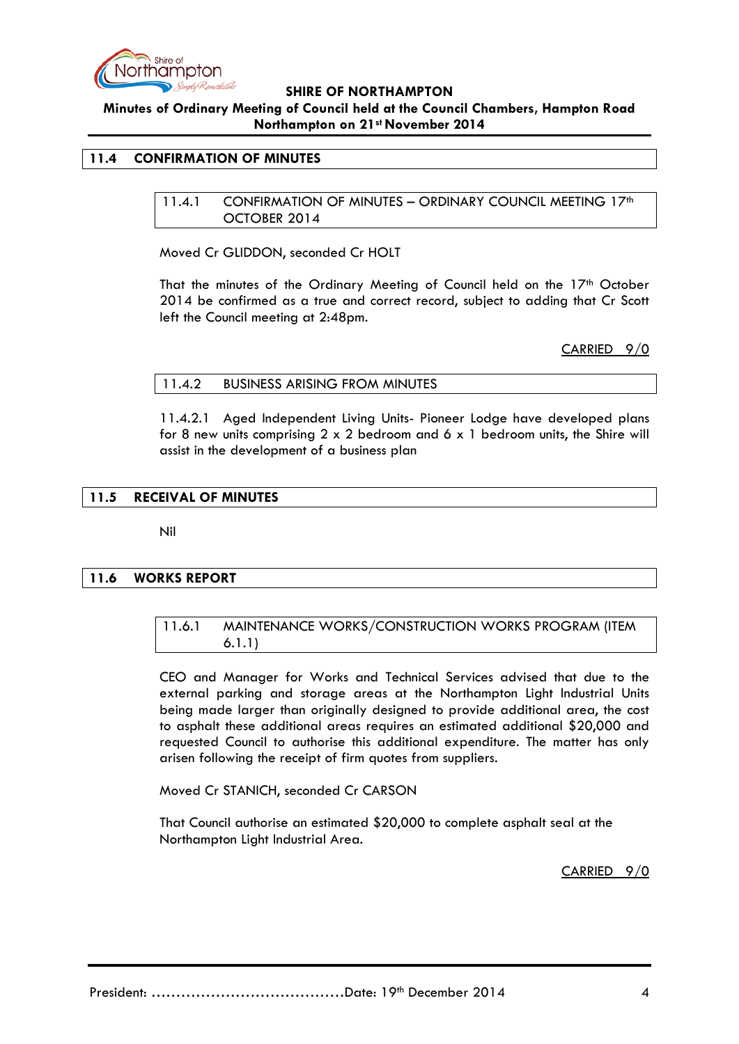

**Minutes of Ordinary Meeting of Council held at the Council Chambers, Hampton Road Northampton on 21st November 2014**

### <span id="page-3-1"></span><span id="page-3-0"></span>**11.4 CONFIRMATION OF MINUTES**

11.4.1 CONFIRMATION OF MINUTES - ORDINARY COUNCIL MEETING 17<sup>th</sup> OCTOBER 2014

Moved Cr GLIDDON, seconded Cr HOLT

That the minutes of the Ordinary Meeting of Council held on the 17<sup>th</sup> October 2014 be confirmed as a true and correct record, subject to adding that Cr Scott left the Council meeting at 2:48pm.

CARRIED 9/0

#### <span id="page-3-2"></span>11.4.2 BUSINESS ARISING FROM MINUTES

11.4.2.1 Aged Independent Living Units- Pioneer Lodge have developed plans for 8 new units comprising  $2 \times 2$  bedroom and 6  $\times$  1 bedroom units, the Shire will assist in the development of a business plan

#### <span id="page-3-3"></span>**11.5 RECEIVAL OF MINUTES**

Nil

#### <span id="page-3-5"></span><span id="page-3-4"></span>**11.6 WORKS REPORT**

#### 11.6.1 MAINTENANCE WORKS/CONSTRUCTION WORKS PROGRAM (ITEM 6.1.1)

CEO and Manager for Works and Technical Services advised that due to the external parking and storage areas at the Northampton Light Industrial Units being made larger than originally designed to provide additional area, the cost to asphalt these additional areas requires an estimated additional \$20,000 and requested Council to authorise this additional expenditure. The matter has only arisen following the receipt of firm quotes from suppliers.

Moved Cr STANICH, seconded Cr CARSON

That Council authorise an estimated \$20,000 to complete asphalt seal at the Northampton Light Industrial Area.

CARRIED 9/0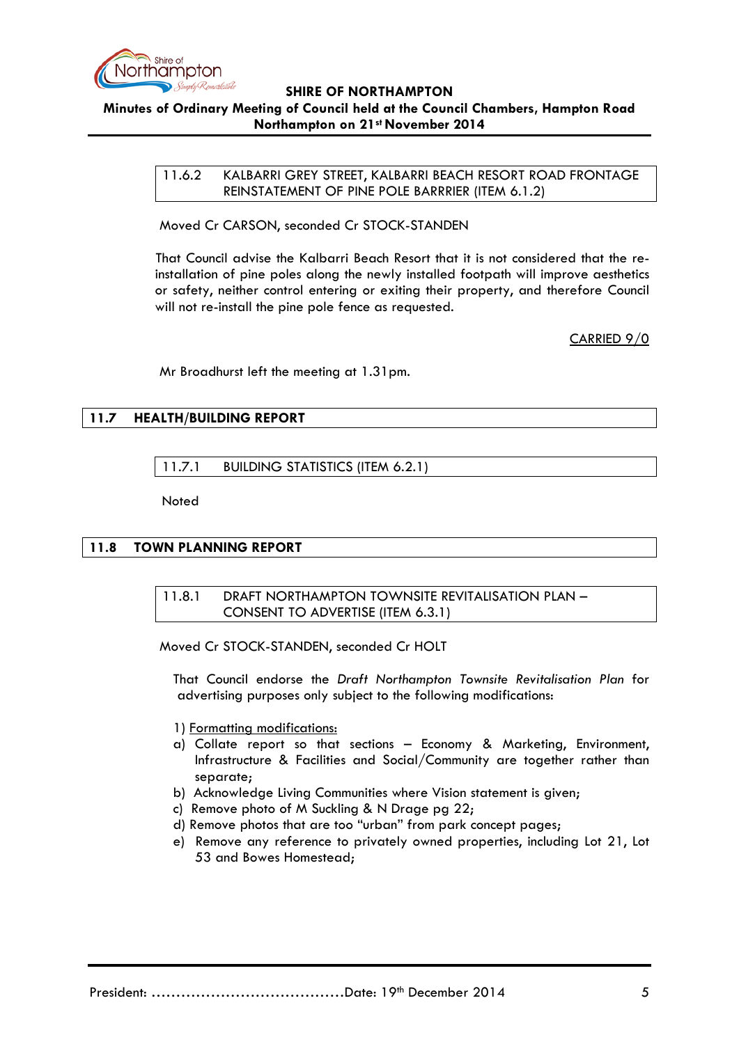

<span id="page-4-0"></span>11.6.2 KALBARRI GREY STREET, KALBARRI BEACH RESORT ROAD FRONTAGE REINSTATEMENT OF PINE POLE BARRRIER (ITEM 6.1.2)

Moved Cr CARSON, seconded Cr STOCK-STANDEN

That Council advise the Kalbarri Beach Resort that it is not considered that the reinstallation of pine poles along the newly installed footpath will improve aesthetics or safety, neither control entering or exiting their property, and therefore Council will not re-install the pine pole fence as requested.

CARRIED 9/0

Mr Broadhurst left the meeting at 1.31pm.

### <span id="page-4-2"></span><span id="page-4-1"></span>**11.7 HEALTH/BUILDING REPORT**

11.7.1 BUILDING STATISTICS (ITEM 6.2.1)

**Noted** 

#### <span id="page-4-4"></span><span id="page-4-3"></span>**11.8 TOWN PLANNING REPORT**

### 11.8.1 DRAFT NORTHAMPTON TOWNSITE REVITALISATION PLAN – CONSENT TO ADVERTISE (ITEM 6.3.1)

Moved Cr STOCK-STANDEN, seconded Cr HOLT

That Council endorse the *Draft Northampton Townsite Revitalisation Plan* for advertising purposes only subject to the following modifications:

- 1) Formatting modifications:
- a) Collate report so that sections Economy & Marketing, Environment, Infrastructure & Facilities and Social/Community are together rather than separate;
- b) Acknowledge Living Communities where Vision statement is given;
- c) Remove photo of M Suckling & N Drage pg 22;
- d) Remove photos that are too "urban" from park concept pages;
- e) Remove any reference to privately owned properties, including Lot 21, Lot 53 and Bowes Homestead;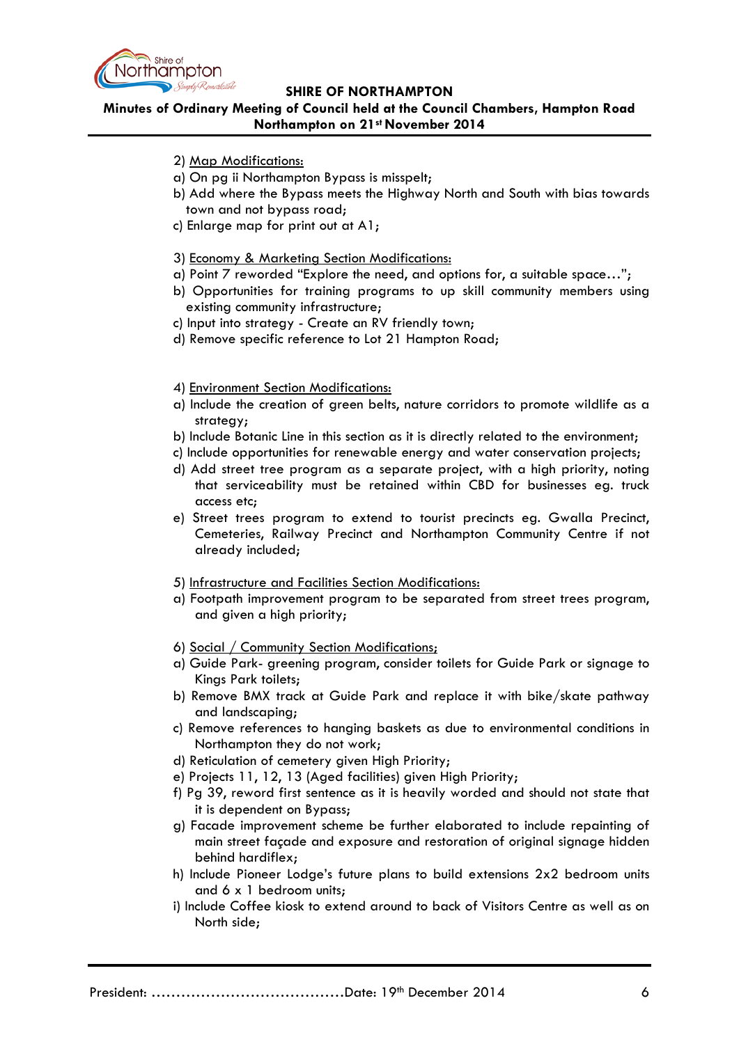

# **Minutes of Ordinary Meeting of Council held at the Council Chambers, Hampton Road Northampton on 21st November 2014**

- 2) Map Modifications:
- a) On pg ii Northampton Bypass is misspelt;
- b) Add where the Bypass meets the Highway North and South with bias towards town and not bypass road;
- c) Enlarge map for print out at A1;
- 3) Economy & Marketing Section Modifications:
- a) Point 7 reworded "Explore the need, and options for, a suitable space…";
- b) Opportunities for training programs to up skill community members using existing community infrastructure;
- c) Input into strategy Create an RV friendly town;
- d) Remove specific reference to Lot 21 Hampton Road;
- 4) Environment Section Modifications:
- a) Include the creation of green belts, nature corridors to promote wildlife as a strategy;
- b) Include Botanic Line in this section as it is directly related to the environment;
- c) Include opportunities for renewable energy and water conservation projects;
- d) Add street tree program as a separate project, with a high priority, noting that serviceability must be retained within CBD for businesses eg. truck access etc;
- e) Street trees program to extend to tourist precincts eg. Gwalla Precinct, Cemeteries, Railway Precinct and Northampton Community Centre if not already included;
- 5) Infrastructure and Facilities Section Modifications:
- a) Footpath improvement program to be separated from street trees program, and given a high priority;
- 6) Social / Community Section Modifications;
- a) Guide Park- greening program, consider toilets for Guide Park or signage to Kings Park toilets;
- b) Remove BMX track at Guide Park and replace it with bike/skate pathway and landscaping;
- c) Remove references to hanging baskets as due to environmental conditions in Northampton they do not work;
- d) Reticulation of cemetery given High Priority;
- e) Projects 11, 12, 13 (Aged facilities) given High Priority;
- f) Pg 39, reword first sentence as it is heavily worded and should not state that it is dependent on Bypass;
- g) Facade improvement scheme be further elaborated to include repainting of main street façade and exposure and restoration of original signage hidden behind hardiflex;
- h) Include Pioneer Lodge's future plans to build extensions 2x2 bedroom units and 6 x 1 bedroom units;
- i) Include Coffee kiosk to extend around to back of Visitors Centre as well as on North side;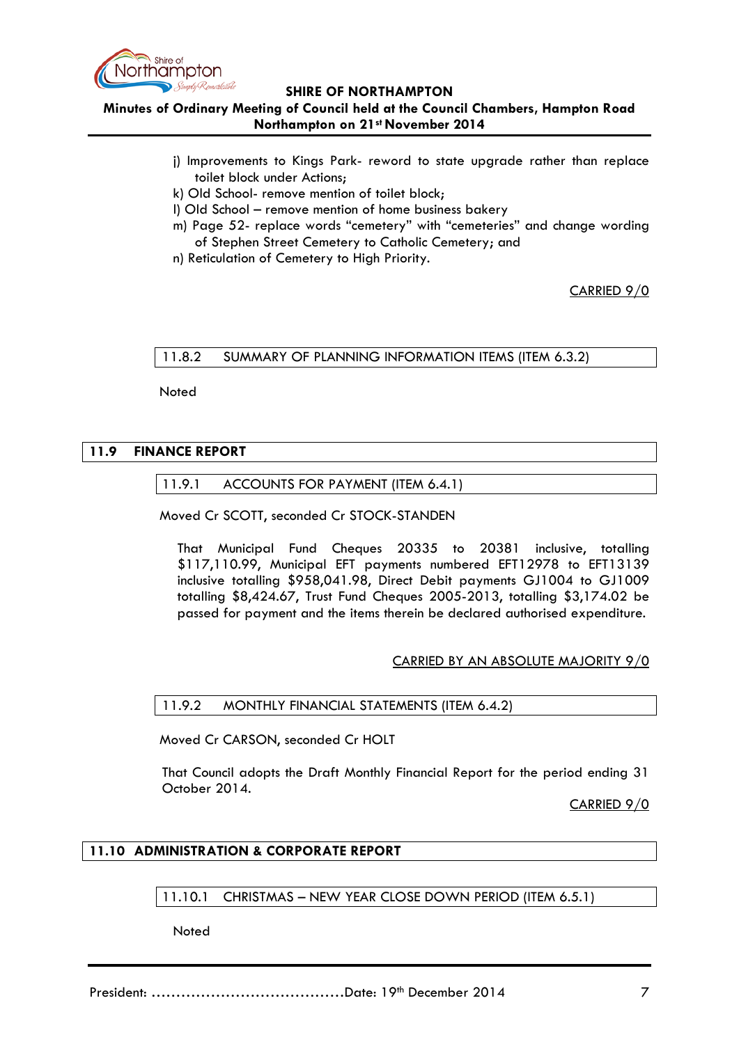

**Minutes of Ordinary Meeting of Council held at the Council Chambers, Hampton Road Northampton on 21st November 2014**

- j) Improvements to Kings Park- reword to state upgrade rather than replace toilet block under Actions;
- k) Old School- remove mention of toilet block;
- l) Old School remove mention of home business bakery
- m) Page 52- replace words "cemetery" with "cemeteries" and change wording of Stephen Street Cemetery to Catholic Cemetery; and
- n) Reticulation of Cemetery to High Priority.

CARRIED 9/0

#### <span id="page-6-0"></span>11.8.2 SUMMARY OF PLANNING INFORMATION ITEMS (ITEM 6.3.2)

Noted

# <span id="page-6-2"></span><span id="page-6-1"></span>**11.9 FINANCE REPORT**

### 11.9.1 ACCOUNTS FOR PAYMENT (ITEM 6.4.1)

Moved Cr SCOTT, seconded Cr STOCK-STANDEN

That Municipal Fund Cheques 20335 to 20381 inclusive, totalling \$117,110.99, Municipal EFT payments numbered EFT12978 to EFT13139 inclusive totalling \$958,041.98, Direct Debit payments GJ1004 to GJ1009 totalling \$8,424.67, Trust Fund Cheques 2005-2013, totalling \$3,174.02 be passed for payment and the items therein be declared authorised expenditure.

# CARRIED BY AN ABSOLUTE MAJORITY 9/0

#### <span id="page-6-3"></span>11.9.2 MONTHLY FINANCIAL STATEMENTS (ITEM 6.4.2)

Moved Cr CARSON, seconded Cr HOLT

That Council adopts the Draft Monthly Financial Report for the period ending 31 October 2014.

CARRIED 9/0

# <span id="page-6-5"></span><span id="page-6-4"></span>**11.10 ADMINISTRATION & CORPORATE REPORT**

11.10.1 CHRISTMAS – NEW YEAR CLOSE DOWN PERIOD (ITEM 6.5.1)

**Noted**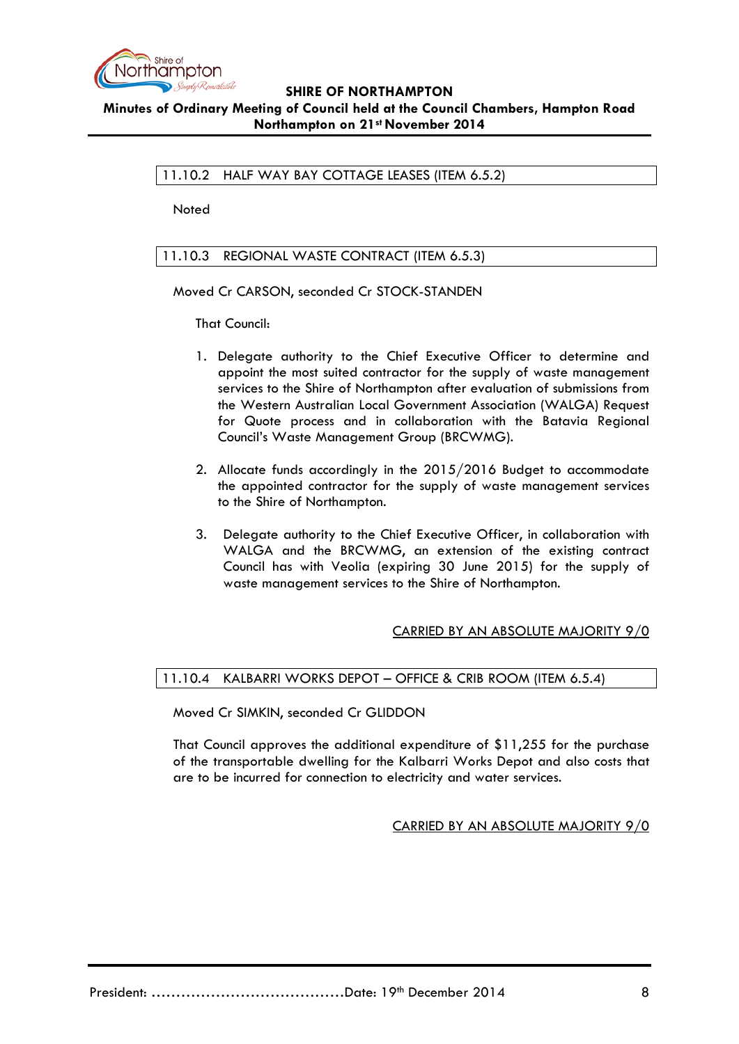

<span id="page-7-0"></span>11.10.2 HALF WAY BAY COTTAGE LEASES (ITEM 6.5.2)

Noted

# <span id="page-7-1"></span>11.10.3 REGIONAL WASTE CONTRACT (ITEM 6.5.3)

Moved Cr CARSON, seconded Cr STOCK-STANDEN

That Council:

- 1. Delegate authority to the Chief Executive Officer to determine and appoint the most suited contractor for the supply of waste management services to the Shire of Northampton after evaluation of submissions from the Western Australian Local Government Association (WALGA) Request for Quote process and in collaboration with the Batavia Regional Council's Waste Management Group (BRCWMG).
- 2. Allocate funds accordingly in the 2015/2016 Budget to accommodate the appointed contractor for the supply of waste management services to the Shire of Northampton.
- 3. Delegate authority to the Chief Executive Officer, in collaboration with WALGA and the BRCWMG, an extension of the existing contract Council has with Veolia (expiring 30 June 2015) for the supply of waste management services to the Shire of Northampton.

# CARRIED BY AN ABSOLUTE MAJORITY 9/0

# <span id="page-7-2"></span>11.10.4 KALBARRI WORKS DEPOT – OFFICE & CRIB ROOM (ITEM 6.5.4)

Moved Cr SIMKIN, seconded Cr GLIDDON

That Council approves the additional expenditure of \$11,255 for the purchase of the transportable dwelling for the Kalbarri Works Depot and also costs that are to be incurred for connection to electricity and water services.

CARRIED BY AN ABSOLUTE MAJORITY 9/0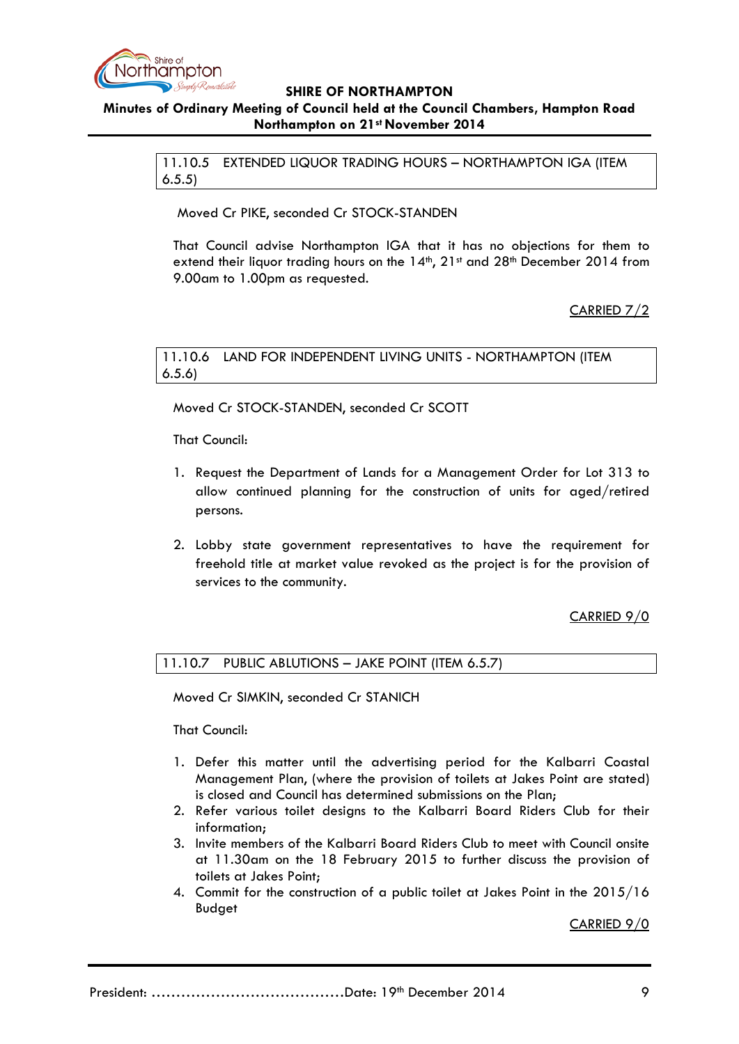

# <span id="page-8-0"></span>**Minutes of Ordinary Meeting of Council held at the Council Chambers, Hampton Road Northampton on 21st November 2014**

11.10.5 EXTENDED LIQUOR TRADING HOURS – NORTHAMPTON IGA (ITEM 6.5.5)

Moved Cr PIKE, seconded Cr STOCK-STANDEN

That Council advise Northampton IGA that it has no objections for them to extend their liquor trading hours on the 14<sup>th</sup>, 21<sup>st</sup> and 28<sup>th</sup> December 2014 from 9.00am to 1.00pm as requested.

CARRIED 7/2

### <span id="page-8-1"></span>11.10.6 LAND FOR INDEPENDENT LIVING UNITS - NORTHAMPTON (ITEM 6.5.6)

Moved Cr STOCK-STANDEN, seconded Cr SCOTT

That Council:

- 1. Request the Department of Lands for a Management Order for Lot 313 to allow continued planning for the construction of units for aged/retired persons.
- 2. Lobby state government representatives to have the requirement for freehold title at market value revoked as the project is for the provision of services to the community.

# CARRIED 9/0

<span id="page-8-2"></span>11.10.7 PUBLIC ABLUTIONS – JAKE POINT (ITEM 6.5.7)

Moved Cr SIMKIN, seconded Cr STANICH

That Council:

- 1. Defer this matter until the advertising period for the Kalbarri Coastal Management Plan, (where the provision of toilets at Jakes Point are stated) is closed and Council has determined submissions on the Plan;
- 2. Refer various toilet designs to the Kalbarri Board Riders Club for their information;
- 3. Invite members of the Kalbarri Board Riders Club to meet with Council onsite at 11.30am on the 18 February 2015 to further discuss the provision of toilets at Jakes Point;
- 4. Commit for the construction of a public toilet at Jakes Point in the 2015/16 Budget

CARRIED 9/0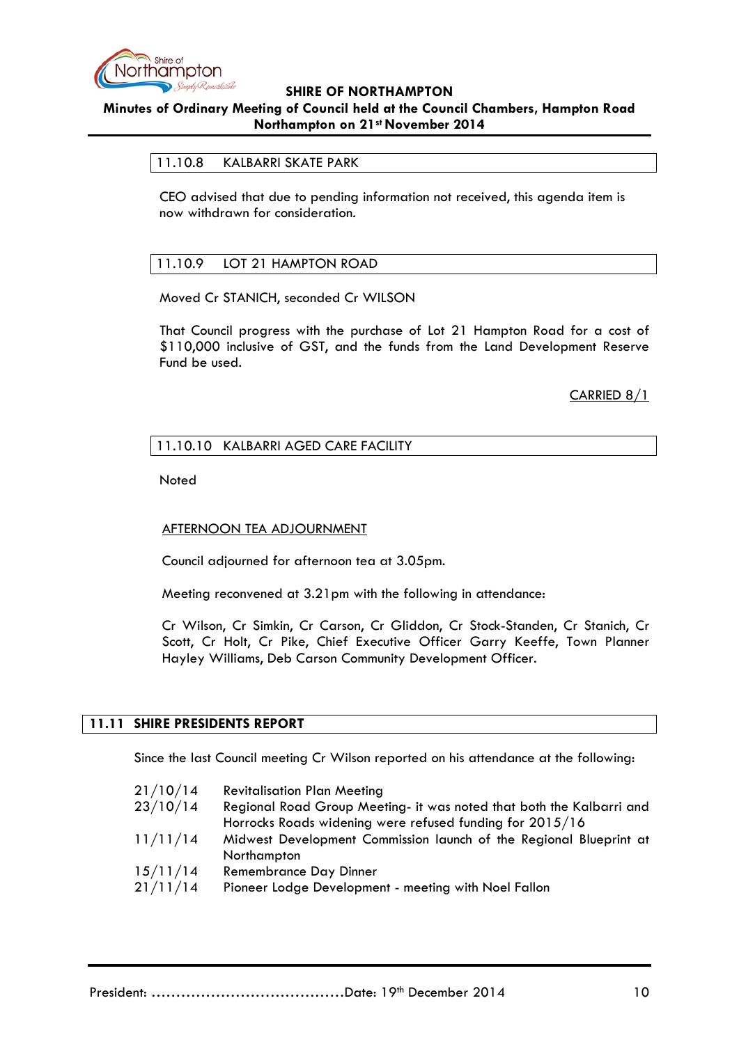

# <span id="page-9-0"></span>**Minutes of Ordinary Meeting of Council held at the Council Chambers, Hampton Road Northampton on 21st November 2014**

### 11.10.8 KALBARRI SKATE PARK

CEO advised that due to pending information not received, this agenda item is now withdrawn for consideration.

### <span id="page-9-1"></span>11.10.9 LOT 21 HAMPTON ROAD

Moved Cr STANICH, seconded Cr WILSON

That Council progress with the purchase of Lot 21 Hampton Road for a cost of \$110,000 inclusive of GST, and the funds from the Land Development Reserve Fund be used.

CARRIED 8/1

### <span id="page-9-2"></span>11.10.10 KALBARRI AGED CARE FACILITY

**Noted** 

#### AFTERNOON TEA ADJOURNMENT

Council adjourned for afternoon tea at 3.05pm.

Meeting reconvened at 3.21pm with the following in attendance:

Cr Wilson, Cr Simkin, Cr Carson, Cr Gliddon, Cr Stock-Standen, Cr Stanich, Cr Scott, Cr Holt, Cr Pike, Chief Executive Officer Garry Keeffe, Town Planner Hayley Williams, Deb Carson Community Development Officer.

# <span id="page-9-3"></span>**11.11 SHIRE PRESIDENTS REPORT**

Since the last Council meeting Cr Wilson reported on his attendance at the following:

| 21/10/14<br><b>Revitalisation Plan Meeting</b>                                   |  |
|----------------------------------------------------------------------------------|--|
| 23/10/14<br>Regional Road Group Meeting- it was noted that both the Kalbarri and |  |
| Horrocks Roads widening were refused funding for 2015/16                         |  |
| 11/11/14<br>Midwest Development Commission launch of the Regional Blueprint at   |  |
| Northampton                                                                      |  |
| 15/11/14<br>Remembrance Day Dinner                                               |  |
| 21/11/14<br>Pioneer Lodge Development - meeting with Noel Fallon                 |  |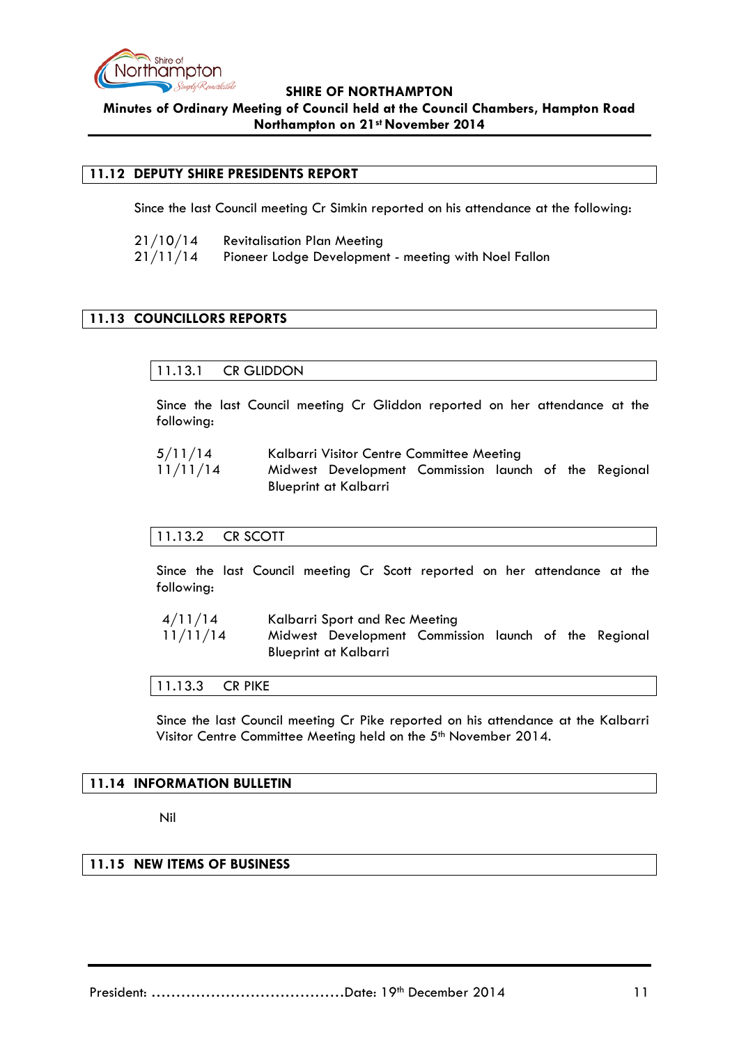

### <span id="page-10-0"></span>**11.12 DEPUTY SHIRE PRESIDENTS REPORT**

Since the last Council meeting Cr Simkin reported on his attendance at the following:

21/10/14 Revitalisation Plan Meeting 21/11/14 Pioneer Lodge Development - meeting with Noel Fallon

# <span id="page-10-2"></span><span id="page-10-1"></span>**11.13 COUNCILLORS REPORTS**

11.13.1 CR GLIDDON

Since the last Council meeting Cr Gliddon reported on her attendance at the following:

| 5/11/14  | Kalbarri Visitor Centre Committee Meeting |                                                       |  |  |  |  |
|----------|-------------------------------------------|-------------------------------------------------------|--|--|--|--|
| 11/11/14 |                                           | Midwest Development Commission launch of the Regional |  |  |  |  |
|          |                                           | Blueprint at Kalbarri                                 |  |  |  |  |

#### <span id="page-10-3"></span>11.13.2 CR SCOTT

Since the last Council meeting Cr Scott reported on her attendance at the following:

| 4/11/14  | Kalbarri Sport and Rec Meeting |                                                                                |  |  |  |  |  |
|----------|--------------------------------|--------------------------------------------------------------------------------|--|--|--|--|--|
| 11/11/14 |                                | Midwest Development Commission launch of the Regional<br>Blueprint at Kalbarri |  |  |  |  |  |

<span id="page-10-4"></span>11.13.3 CR PIKE

Since the last Council meeting Cr Pike reported on his attendance at the Kalbarri Visitor Centre Committee Meeting held on the 5<sup>th</sup> November 2014.

#### <span id="page-10-5"></span>**11.14 INFORMATION BULLETIN**

Nil

### <span id="page-10-6"></span>**11.15 NEW ITEMS OF BUSINESS**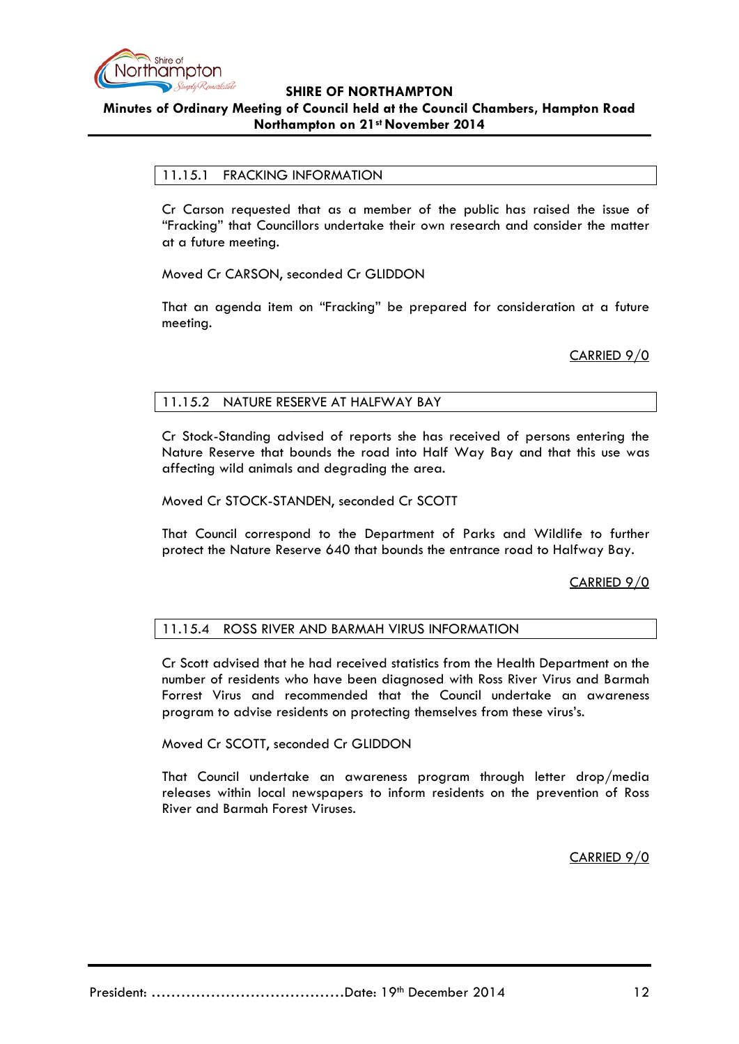

# <span id="page-11-0"></span>11.15.1 FRACKING INFORMATION

Cr Carson requested that as a member of the public has raised the issue of "Fracking" that Councillors undertake their own research and consider the matter at a future meeting.

Moved Cr CARSON, seconded Cr GLIDDON

That an agenda item on "Fracking" be prepared for consideration at a future meeting.

CARRIED 9/0

### <span id="page-11-1"></span>11.15.2 NATURE RESERVE AT HALFWAY BAY

Cr Stock-Standing advised of reports she has received of persons entering the Nature Reserve that bounds the road into Half Way Bay and that this use was affecting wild animals and degrading the area.

Moved Cr STOCK-STANDEN, seconded Cr SCOTT

That Council correspond to the Department of Parks and Wildlife to further protect the Nature Reserve 640 that bounds the entrance road to Halfway Bay.

CARRIED 9/0

#### <span id="page-11-2"></span>11.15.4 ROSS RIVER AND BARMAH VIRUS INFORMATION

Cr Scott advised that he had received statistics from the Health Department on the number of residents who have been diagnosed with Ross River Virus and Barmah Forrest Virus and recommended that the Council undertake an awareness program to advise residents on protecting themselves from these virus's.

Moved Cr SCOTT, seconded Cr GLIDDON

That Council undertake an awareness program through letter drop/media releases within local newspapers to inform residents on the prevention of Ross River and Barmah Forest Viruses.

CARRIED 9/0